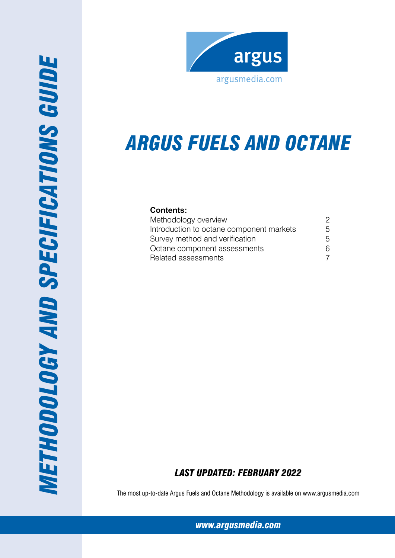

# *Argus FUels and Octane*

## **Contents:**

| Methodology overview                     | 2 |
|------------------------------------------|---|
| Introduction to octane component markets | 5 |
| Survey method and verification           | 5 |
| Octane component assessments             | 6 |
| Related assessments                      |   |

## *Last Updated: February 2022*

The most up-to-date Argus Fuels and Octane Methodology is available on www.argusmedia.com

*[www.argusmedia.com](http://www.argusmediagroup.com)*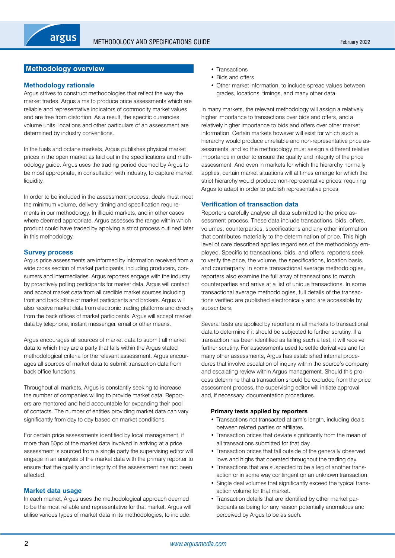## <span id="page-1-0"></span>**Methodology overview**

#### **Methodology rationale**

Argus strives to construct methodologies that reflect the way the market trades. Argus aims to produce price assessments which are reliable and representative indicators of commodity market values and are free from distortion. As a result, the specific currencies, volume units, locations and other particulars of an assessment are determined by industry conventions.

In the fuels and octane markets, Argus publishes physical market prices in the open market as laid out in the specifications and methodology guide. Argus uses the trading period deemed by Argus to be most appropriate, in consultation with industry, to capture market liquidity.

In order to be included in the assessment process, deals must meet the minimum volume, delivery, timing and specification requirements in our methodology. In illiquid markets, and in other cases where deemed appropriate, Argus assesses the range within which product could have traded by applying a strict process outlined later in this methodology.

## **Survey process**

Argus price assessments are informed by information received from a wide cross section of market participants, including producers, consumers and intermediaries. Argus reporters engage with the industry by proactively polling participants for market data. Argus will contact and accept market data from all credible market sources including front and back office of market participants and brokers. Argus will also receive market data from electronic trading platforms and directly from the back offices of market participants. Argus will accept market data by telephone, instant messenger, email or other means.

Argus encourages all sources of market data to submit all market data to which they are a party that falls within the Argus stated methodological criteria for the relevant assessment. Argus encourages all sources of market data to submit transaction data from back office functions.

Throughout all markets, Argus is constantly seeking to increase the number of companies willing to provide market data. Reporters are mentored and held accountable for expanding their pool of contacts. The number of entities providing market data can vary significantly from day to day based on market conditions.

For certain price assessments identified by local management, if more than 50pc of the market data involved in arriving at a price assessment is sourced from a single party the supervising editor will engage in an analysis of the market data with the primary reporter to ensure that the quality and integrity of the assessment has not been affected.

#### **Market data usage**

In each market, Argus uses the methodological approach deemed to be the most reliable and representative for that market. Argus will utilise various types of market data in its methodologies, to include:

- Transactions
- Bids and offers
- Other market information, to include spread values between grades, locations, timings, and many other data.

In many markets, the relevant methodology will assign a relatively higher importance to transactions over bids and offers, and a relatively higher importance to bids and offers over other market information. Certain markets however will exist for which such a hierarchy would produce unreliable and non-representative price assessments, and so the methodology must assign a different relative importance in order to ensure the quality and integrity of the price assessment. And even in markets for which the hierarchy normally applies, certain market situations will at times emerge for which the strict hierarchy would produce non-representative prices, requiring Argus to adapt in order to publish representative prices.

## **Verification of transaction data**

Reporters carefully analyse all data submitted to the price assessment process. These data include transactions, bids, offers, volumes, counterparties, specifications and any other information that contributes materially to the determination of price. This high level of care described applies regardless of the methodology employed. Specific to transactions, bids, and offers, reporters seek to verify the price, the volume, the specifications, location basis, and counterparty. In some transactional average methodologies, reporters also examine the full array of transactions to match counterparties and arrive at a list of unique transactions. In some transactional average methodologies, full details of the transactions verified are published electronically and are accessible by subscribers.

Several tests are applied by reporters in all markets to transactional data to determine if it should be subjected to further scrutiny. If a transaction has been identified as failing such a test, it will receive further scrutiny. For assessments used to settle derivatives and for many other assessments, Argus has established internal procedures that involve escalation of inquiry within the source's company and escalating review within Argus management. Should this process determine that a transaction should be excluded from the price assessment process, the supervising editor will initiate approval and, if necessary, documentation procedures.

#### **Primary tests applied by reporters**

- Transactions not transacted at arm's length, including deals between related parties or affiliates.
- Transaction prices that deviate significantly from the mean of all transactions submitted for that day.
- Transaction prices that fall outside of the generally observed lows and highs that operated throughout the trading day.
- Transactions that are suspected to be a leg of another transaction or in some way contingent on an unknown transaction.
- Single deal volumes that significantly exceed the typical transaction volume for that market.
- Transaction details that are identified by other market participants as being for any reason potentially anomalous and perceived by Argus to be as such.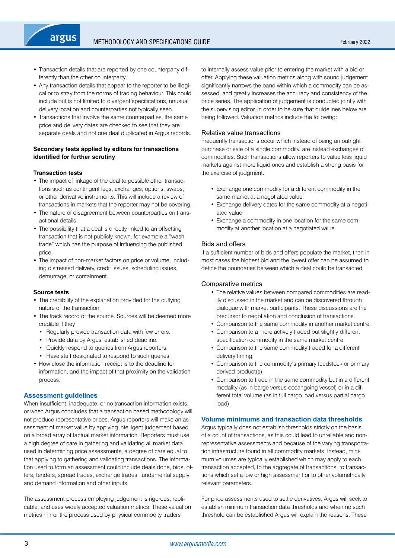- Transaction details that are reported by one counterparty differently than the other counterparty.
- Any transaction details that appear to the reporter to be illogical or to stray from the norms of trading behaviour. This could include but is not limited to divergent specifications, unusual delivery location and counterparties not typically seen.
- Transactions that involve the same counterparties, the same price and delivery dates are checked to see that they are separate deals and not one deal duplicated in Argus records.

## **Secondary tests applied by editors for transactions identified for further scrutiny**

#### **Transaction tests**

argus

- The impact of linkage of the deal to possible other transactions such as contingent legs, exchanges, options, swaps, or other derivative instruments. This will include a review of transactions in markets that the reporter may not be covering.
- The nature of disagreement between counterparties on transactional details.
- The possibility that a deal is directly linked to an offsetting transaction that is not publicly known, for example a "wash trade" which has the purpose of influencing the published price.
- The impact of non-market factors on price or volume, including distressed delivery, credit issues, scheduling issues, demurrage, or containment.

#### **Source tests**

- The credibility of the explanation provided for the outlying nature of the transaction.
- The track record of the source. Sources will be deemed more credible if they
	- Regularly provide transaction data with few errors.
	- Provide data by Argus' established deadline.
	- Quickly respond to queries from Argus reporters.
- Have staff designated to respond to such queries.
- How close the information receipt is to the deadline for information, and the impact of that proximity on the validation process.

#### **Assessment guidelines**

When insufficient, inadequate, or no transaction information exists, or when Argus concludes that a transaction based methodology will not produce representative prices, Argus reporters will make an assessment of market value by applying intelligent judgement based on a broad array of factual market information. Reporters must use a high degree of care in gathering and validating all market data used in determining price assessments, a degree of care equal to that applying to gathering and validating transactions. The information used to form an assessment could include deals done, bids, offers, tenders, spread trades, exchange trades, fundamental supply and demand information and other inputs.

The assessment process employing judgement is rigorous, replicable, and uses widely accepted valuation metrics. These valuation metrics mirror the process used by physical commodity traders

to internally assess value prior to entering the market with a bid or offer. Applying these valuation metrics along with sound judgement significantly narrows the band within which a commodity can be assessed, and greatly increases the accuracy and consistency of the price series. The application of judgement is conducted jointly with the supervising editor, in order to be sure that guidelines below are being followed. Valuation metrics include the following:

#### Relative value transactions

Frequently transactions occur which instead of being an outright purchase or sale of a single commodity, are instead exchanges of commodities. Such transactions allow reporters to value less liquid markets against more liquid ones and establish a strong basis for the exercise of judgment.

- Exchange one commodity for a different commodity in the same market at a negotiated value.
- Exchange delivery dates for the same commodity at a negotiated value.
- Exchange a commodity in one location for the same commodity at another location at a negotiated value.

#### Bids and offers

If a sufficient number of bids and offers populate the market, then in most cases the highest bid and the lowest offer can be assumed to define the boundaries between which a deal could be transacted.

#### Comparative metrics

- The relative values between compared commodities are readily discussed in the market and can be discovered through dialogue with market participants. These discussions are the precursor to negotiation and conclusion of transactions.
- Comparison to the same commodity in another market centre.
- Comparison to a more actively traded but slightly different specification commodity in the same market centre.
- Comparison to the same commodity traded for a different delivery timing.
- Comparison to the commodity's primary feedstock or primary derived product(s).
- Comparison to trade in the same commodity but in a different modality (as in barge versus oceangoing vessel) or in a different total volume (as in full cargo load versus partial cargo load).

## **Volume minimums and transaction data thresholds**

Argus typically does not establish thresholds strictly on the basis of a count of transactions, as this could lead to unreliable and nonrepresentative assessments and because of the varying transportation infrastructure found in all commodity markets. Instead, minimum volumes are typically established which may apply to each transaction accepted, to the aggregate of transactions, to transactions which set a low or high assessment or to other volumetrically relevant parameters.

For price assessments used to settle derivatives, Argus will seek to establish minimum transaction data thresholds and when no such threshold can be established Argus will explain the reasons. These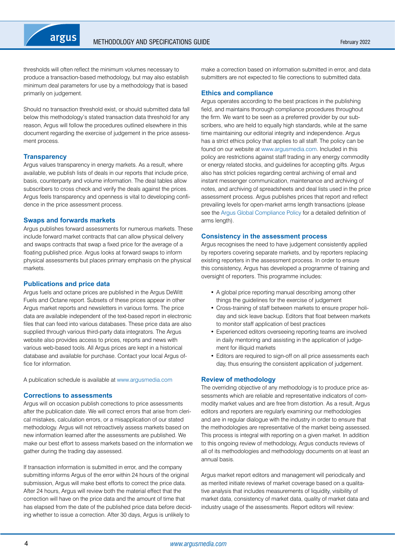

thresholds will often reflect the minimum volumes necessary to produce a transaction-based methodology, but may also establish minimum deal parameters for use by a methodology that is based primarily on judgement.

Should no transaction threshold exist, or should submitted data fall below this methodology's stated transaction data threshold for any reason, Argus will follow the procedures outlined elsewhere in this document regarding the exercise of judgement in the price assessment process.

#### **Transparency**

Argus values transparency in energy markets. As a result, where available, we publish lists of deals in our reports that include price, basis, counterparty and volume information. The deal tables allow subscribers to cross check and verify the deals against the prices. Argus feels transparency and openness is vital to developing confidence in the price assessment process.

#### **Swaps and forwards markets**

Argus publishes forward assessments for numerous markets. These include forward market contracts that can allow physical delivery and swaps contracts that swap a fixed price for the average of a floating published price. Argus looks at forward swaps to inform physical assessments but places primary emphasis on the physical markets.

#### **Publications and price data**

Argus fuels and octane prices are published in the Argus DeWitt Fuels and Octane report. Subsets of these prices appear in other Argus market reports and newsletters in various forms. The price data are available independent of the text-based report in electronic files that can feed into various databases. These price data are also supplied through various third-party data integrators. The Argus website also provides access to prices, reports and news with various web-based tools. All Argus prices are kept in a historical database and available for purchase. Contact your local Argus office for information.

A publication schedule is available at<www.argusmedia.com>

#### **Corrections to assessments**

Argus will on occasion publish corrections to price assessments after the publication date. We will correct errors that arise from clerical mistakes, calculation errors, or a misapplication of our stated methodology. Argus will not retroactively assess markets based on new information learned after the assessments are published. We make our best effort to assess markets based on the information we gather during the trading day assessed.

If transaction information is submitted in error, and the company submitting informs Argus of the error within 24 hours of the original submission. Argus will make best efforts to correct the price data. After 24 hours, Argus will review both the material effect that the correction will have on the price data and the amount of time that has elapsed from the date of the published price data before deciding whether to issue a correction. After 30 days, Argus is unlikely to

make a correction based on information submitted in error, and data submitters are not expected to file corrections to submitted data.

#### **Ethics and compliance**

Argus operates according to the best practices in the publishing field, and maintains thorough compliance procedures throughout the firm. We want to be seen as a preferred provider by our subscribers, who are held to equally high standards, while at the same time maintaining our editorial integrity and independence. Argus has a strict ethics policy that applies to all staff. The policy can be found on our website at [www.argusmedia.com.](www.argusmedia.com) Included in this policy are restrictions against staff trading in any energy commodity or energy related stocks, and guidelines for accepting gifts. Argus also has strict policies regarding central archiving of email and instant messenger communication, maintenance and archiving of notes, and archiving of spreadsheets and deal lists used in the price assessment process. Argus publishes prices that report and reflect prevailing levels for open-market arms length transactions (please see the [Argus Global Compliance Policy](http://www.argusmedia.com/about-argus/how-we-work/) for a detailed definition of arms length).

#### **Consistency in the assessment process**

Argus recognises the need to have judgement consistently applied by reporters covering separate markets, and by reporters replacing existing reporters in the assessment process. In order to ensure this consistency, Argus has developed a programme of training and oversight of reporters. This programme includes:

- A global price reporting manual describing among other things the guidelines for the exercise of judgement
- Cross-training of staff between markets to ensure proper holiday and sick leave backup. Editors that float between markets to monitor staff application of best practices
- Experienced editors overseeing reporting teams are involved in daily mentoring and assisting in the application of judgement for illiquid markets
- Editors are required to sign-off on all price assessments each day, thus ensuring the consistent application of judgement.

#### **Review of methodology**

The overriding objective of any methodology is to produce price assessments which are reliable and representative indicators of commodity market values and are free from distortion. As a result, Argus editors and reporters are regularly examining our methodologies and are in regular dialogue with the industry in order to ensure that the methodologies are representative of the market being assessed. This process is integral with reporting on a given market. In addition to this ongoing review of methodology, Argus conducts reviews of all of its methodologies and methodology documents on at least an annual basis.

Argus market report editors and management will periodically and as merited initiate reviews of market coverage based on a qualitative analysis that includes measurements of liquidity, visibility of market data, consistency of market data, quality of market data and industry usage of the assessments. Report editors will review: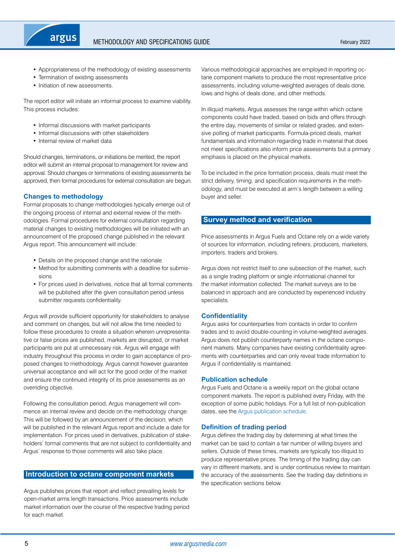<span id="page-4-0"></span>

- Appropriateness of the methodology of existing assessments
- Termination of existing assessments
- Initiation of new assessments.

The report editor will initiate an informal process to examine viability. This process includes:

- Informal discussions with market participants
- Informal discussions with other stakeholders
- Internal review of market data

Should changes, terminations, or initiations be merited, the report editor will submit an internal proposal to management for review and approval. Should changes or terminations of existing assessments be approved, then formal procedures for external consultation are begun.

## **Changes to methodology**

Formal proposals to change methodologies typically emerge out of the ongoing process of internal and external review of the methodologies. Formal procedures for external consultation regarding material changes to existing methodologies will be initiated with an announcement of the proposed change published in the relevant Argus report. This announcement will include:

- Details on the proposed change and the rationale
- Method for submitting comments with a deadline for submissions
- For prices used in derivatives, notice that all formal comments will be published after the given consultation period unless submitter requests confidentiality.

Argus will provide sufficient opportunity for stakeholders to analyse and comment on changes, but will not allow the time needed to follow these procedures to create a situation wherein unrepresentative or false prices are published, markets are disrupted, or market participants are put at unnecessary risk. Argus will engage with industry throughout this process in order to gain acceptance of proposed changes to methodology. Argus cannot however guarantee universal acceptance and will act for the good order of the market and ensure the continued integrity of its price assessments as an overriding objective.

Following the consultation period. Argus management will commence an internal review and decide on the methodology change. This will be followed by an announcement of the decision, which will be published in the relevant Argus report and include a date for implementation. For prices used in derivatives, publication of stakeholders' formal comments that are not subject to confidentiality and Argus' response to those comments will also take place.

## **Introduction to octane component markets**

Argus publishes prices that report and reflect prevailing levels for open-market arms length transactions. Price assessments include market information over the course of the respective trading period for each market.

Various methodological approaches are employed in reporting octane component markets to produce the most representative price assessments, including volume-weighted averages of deals done, lows and highs of deals done, and other methods.

In illiquid markets, Argus assesses the range within which octane components could have traded, based on bids and offers through the entire day, movements of similar or related grades, and extensive polling of market participants. Formula-priced deals, market fundamentals and information regarding trade in material that does not meet specifications also inform price assessments but a primary emphasis is placed on the physical markets.

To be included in the price formation process, deals must meet the strict delivery, timing, and specification requirements in the methodology, and must be executed at arm's length between a willing buyer and seller.

## **Survey method and verification**

Price assessments in Argus Fuels and Octane rely on a wide variety of sources for information, including refiners, producers, marketers, importers, traders and brokers.

Argus does not restrict itself to one subsection of the market, such as a single trading platform or single informational channel for the market information collected. The market surveys are to be balanced in approach and are conducted by experienced industry specialists.

## **Confidentiality**

Argus asks for counterparties from contacts in order to confirm trades and to avoid double-counting in volume-weighted averages. Argus does not publish counterparty names in the octane component markets. Many companies have existing confidentiality agreements with counterparties and can only reveal trade information to Argus if confidentiality is maintained.

#### **Publication schedule**

Argus Fuels and Octane is a weekly report on the global octane component markets. The report is published every Friday, with the exception of some public holidays. For a full list of non-publication dates, see the [Argus publication schedule](http://www.argusmedia.com/methodology-and-reference/publishing-schedule/).

#### **Definition of trading period**

Argus defines the trading day by determining at what times the market can be said to contain a fair number of willing buyers and sellers. Outside of these times, markets are typically too illiquid to produce representative prices. The timing of the trading day can vary in different markets, and is under continuous review to maintain the accuracy of the assessments. See the trading day definitions in the specification sections below.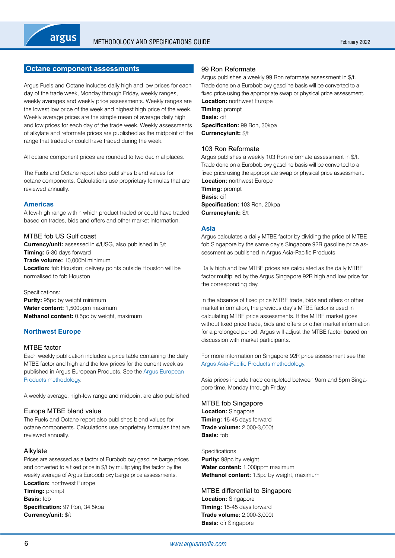## <span id="page-5-0"></span>**Octane component assessments**

Argus Fuels and Octane includes daily high and low prices for each day of the trade week, Monday through Friday, weekly ranges, weekly averages and weekly price assessments. Weekly ranges are the lowest low price of the week and highest high price of the week. Weekly average prices are the simple mean of average daily high and low prices for each day of the trade week. Weekly assessments of alkylate and reformate prices are published as the midpoint of the range that traded or could have traded during the week.

All octane component prices are rounded to two decimal places.

The Fuels and Octane report also publishes blend values for octane components. Calculations use proprietary formulas that are reviewed annually.

#### **Americas**

A low-high range within which product traded or could have traded based on trades, bids and offers and other market information.

#### MTBE fob US Gulf coast

**Currency/unit:** assessed in ¢/USG, also published in \$/t **Timing:** 5-30 days forward **Trade volume:** 10,000bl minimum **Location:** fob Houston; delivery points outside Houston will be normalised to fob Houston

#### Specifications:

**Purity:** 95pc by weight minimum **Water content:** 1,500ppm maximum **Methanol content:** 0.5pc by weight, maximum

## **Northwest Europe**

#### MTBE factor

Each weekly publication includes a price table containing the daily MTBE factor and high and the low prices for the current week as published in Argus European Products. See the [Argus European](http://www.argusmedia.com/~/media/files/pdfs/meth/argus_european_products.pdf?la=en)  [Products methodology.](http://www.argusmedia.com/~/media/files/pdfs/meth/argus_european_products.pdf?la=en)

A weekly average, high-low range and midpoint are also published.

#### Europe MTBE blend value

The Fuels and Octane report also publishes blend values for octane components. Calculations use proprietary formulas that are reviewed annually.

#### Alkylate

Prices are assessed as a factor of Eurobob oxy gasoline barge prices and converted to a fixed price in \$/t by multiplying the factor by the weekly average of Argus Eurobob oxy barge price assessments. **Location:** northwest Europe **Timing:** prompt **Basis:** fob **Specification:** 97 Ron, 34.5kpa **Currency/unit:** \$/t

## 99 Ron Reformate

Argus publishes a weekly 99 Ron reformate assessment in \$/t. Trade done on a Eurobob oxy gasoline basis will be converted to a fixed price using the appropriate swap or physical price assessment. **Location:** northwest Europe **Timing:** prompt **Basis:** cif **Specification:** 99 Ron, 30kpa

103 Ron Reformate

**Currency/unit:** \$/t

Argus publishes a weekly 103 Ron reformate assessment in \$/t. Trade done on a Eurobob oxy gasoline basis will be converted to a fixed price using the appropriate swap or physical price assessment. **Location:** northwest Europe **Timing:** prompt **Basis:** cif **Specification:** 103 Ron, 20kpa **Currency/unit:** \$/t

## **Asia**

Argus calculates a daily MTBE factor by dividing the price of MTBE fob Singapore by the same day's Singapore 92R gasoline price assessment as published in Argus Asia-Pacific Products.

Daily high and low MTBE prices are calculated as the daily MTBE factor multiplied by the Argus Singapore 92R high and low price for the corresponding day.

In the absence of fixed price MTBE trade, bids and offers or other market information, the previous day's MTBE factor is used in calculating MTBE price assessments. If the MTBE market goes without fixed price trade, bids and offers or other market information for a prolonged period, Argus will adjust the MTBE factor based on discussion with market participants.

For more information on Singapore 92R price assessment see the [Argus Asia-Pacific Products methodology.](http://www.argusmedia.com/~/media/files/pdfs/meth/argus_asiapacific_products.pdf?la=en)

Asia prices include trade completed between 9am and 5pm Singapore time, Monday through Friday.

#### MTBE fob Singapore

**Location:** Singapore **Timing:** 15-45 days forward **Trade volume:** 2,000-3,000t **Basis:** fob

Specifications: **Purity:** 98pc by weight **Water content:** 1,000ppm maximum **Methanol content:** 1.5pc by weight, maximum

MTBE differential to Singapore **Location:** Singapore **Timing:** 15-45 days forward **Trade volume:** 2,000-3,000t **Basis:** cfr Singapore